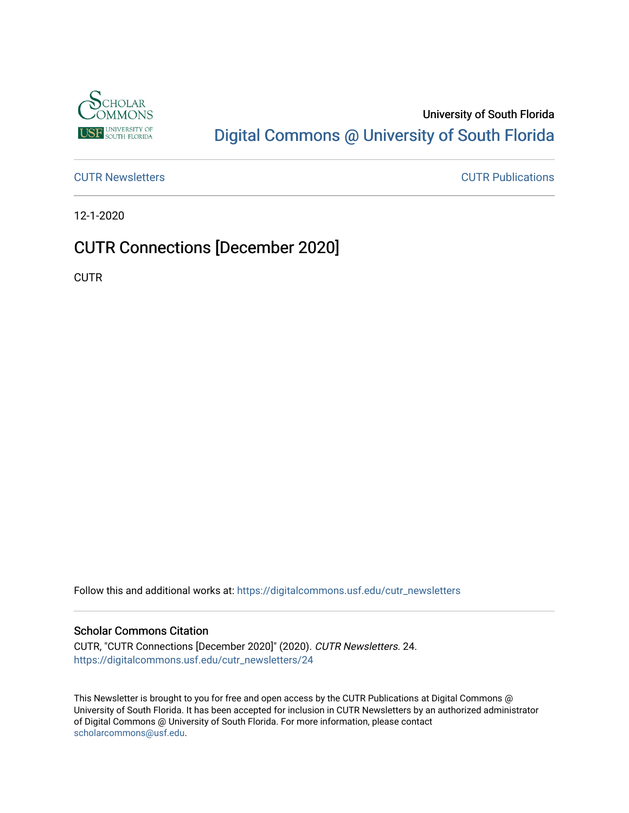

### University of South Florida [Digital Commons @ University of South Florida](https://digitalcommons.usf.edu/)

[CUTR Newsletters](https://digitalcommons.usf.edu/cutr_newsletters) [CUTR Publications](https://digitalcommons.usf.edu/cutr_pubs) 

12-1-2020

## CUTR Connections [December 2020]

**CUTR** 

Follow this and additional works at: [https://digitalcommons.usf.edu/cutr\\_newsletters](https://digitalcommons.usf.edu/cutr_newsletters?utm_source=digitalcommons.usf.edu%2Fcutr_newsletters%2F24&utm_medium=PDF&utm_campaign=PDFCoverPages) 

### Scholar Commons Citation

CUTR, "CUTR Connections [December 2020]" (2020). CUTR Newsletters. 24. [https://digitalcommons.usf.edu/cutr\\_newsletters/24](https://digitalcommons.usf.edu/cutr_newsletters/24?utm_source=digitalcommons.usf.edu%2Fcutr_newsletters%2F24&utm_medium=PDF&utm_campaign=PDFCoverPages)

This Newsletter is brought to you for free and open access by the CUTR Publications at Digital Commons @ University of South Florida. It has been accepted for inclusion in CUTR Newsletters by an authorized administrator of Digital Commons @ University of South Florida. For more information, please contact [scholarcommons@usf.edu.](mailto:scholarcommons@usf.edu)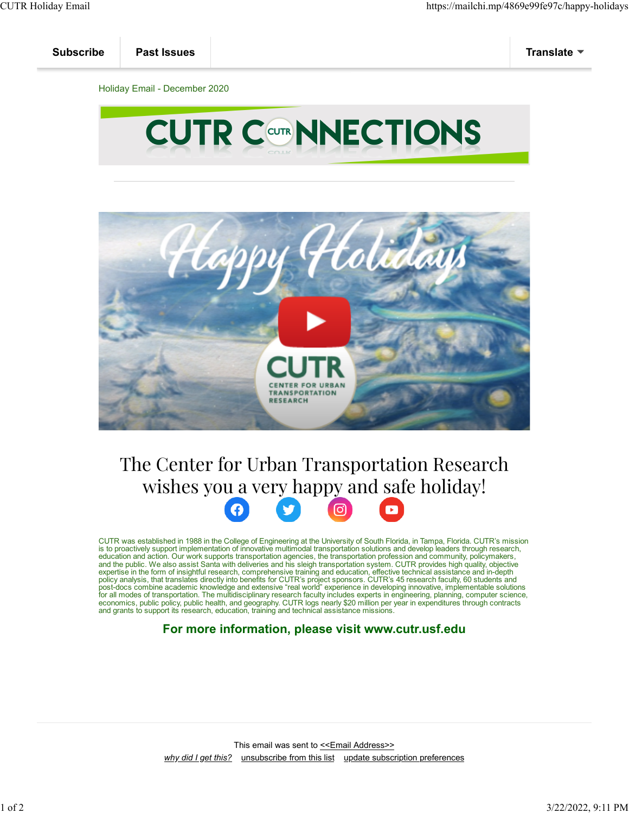

# The Center for Urban Transportation Research wishes yo[u a](https://www.facebook.com/CUTRUSF/) ve[ry h](https://twitter.com/CUTRUSF)ap[py a](https://www.instagram.com/cutrusf/)nd [saf](https://www.youtube.com/c/CUTRUSF)e holiday!



CUTR was established in 1988 in the College of Engineering at the University of South Florida, in Tampa, Florida. CUTR's mission<br>is to proactively support implementation of innovative multimodal transportation solutions an expertise in the form of insightful research, comprehensive training and education, effective technical assistance and in-depth<br>policy analysis, that translates directly into benefits for CUTR's project sponsors. CUTR's 45 for all modes of transportation. The multidisciplinary research faculty includes experts in engineering, planning, computer science,<br>economics, public policy, public health, and geography. CUTR logs nearly \$20 million per

### **For more information, please visit www.cutr.usf.edu**